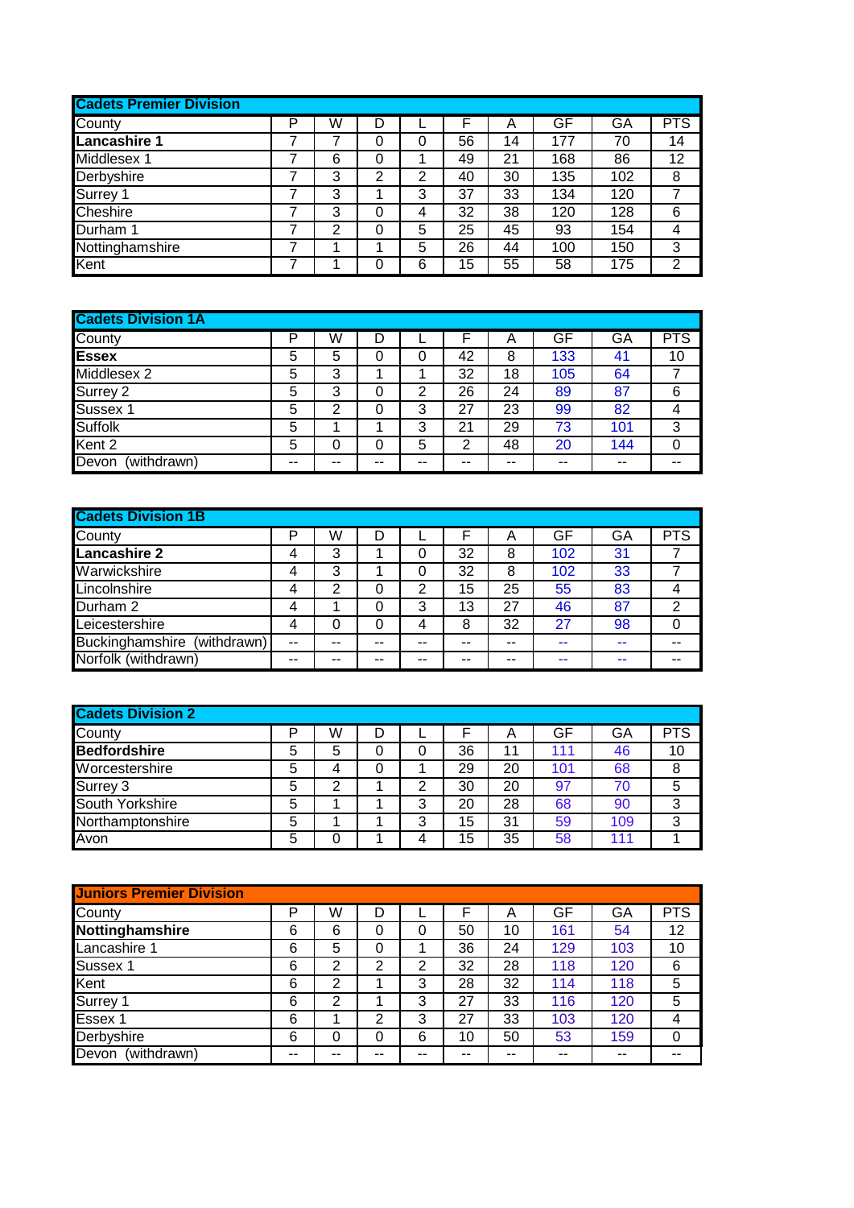| <b>Cadets Premier Division</b> |   |   |   |   |    |    |     |     |                |
|--------------------------------|---|---|---|---|----|----|-----|-----|----------------|
| County                         | P | W | D |   |    | Α  | GF  | GA  | <b>PTS</b>     |
| Lancashire 1                   |   |   | 0 | 0 | 56 | 14 | 177 | 70  | 14             |
| Middlesex 1                    |   | 6 | 0 |   | 49 | 21 | 168 | 86  | 12             |
| Derbyshire                     |   | 3 | 2 | 2 | 40 | 30 | 135 | 102 | 8              |
| Surrey 1                       |   | 3 |   | 3 | 37 | 33 | 134 | 120 |                |
| Cheshire                       |   | 3 | 0 | 4 | 32 | 38 | 120 | 128 | 6              |
| Durham 1                       |   | 2 | 0 | 5 | 25 | 45 | 93  | 154 | 4              |
| Nottinghamshire                |   |   |   | 5 | 26 | 44 | 100 | 150 | 3              |
| Kent                           |   |   | 0 | 6 | 15 | 55 | 58  | 175 | $\overline{2}$ |

| <b>Cadets Division 1A</b> |    |    |    |    |       |    |       |     |       |
|---------------------------|----|----|----|----|-------|----|-------|-----|-------|
| County                    | Þ  | W  | D  |    |       | Α  | GF    | GA  | PTS   |
| <b>Essex</b>              | 5  | 5  | 0  |    | 42    | 8  | 133   | 41  | 10    |
| Middlesex 2               | 5  | 3  |    |    | 32    | 18 | 105   | 64  |       |
| Surrey 2                  | 5  | 3  | 0  | 2  | 26    | 24 | 89    | 87  | 6     |
| Sussex 1                  | 5  | っ  | 0  | 3  | 27    | 23 | 99    | 82  | 4     |
| Suffolk                   | 5  |    |    | 3  | 21    | 29 | 73    | 101 | 3     |
| Kent <sub>2</sub>         | 5  |    | 0  | 5  | ⌒     | 48 | 20    | 144 | 0     |
| Devon<br>(withdrawn)      | -- | -- | -- | -- | $- -$ | -- | $- -$ | --  | $- -$ |

| <b>Cadets Division 1B</b>      |    |    |    |    |       |    |     |    |            |
|--------------------------------|----|----|----|----|-------|----|-----|----|------------|
| County                         | D  | W  | D  |    |       | Α  | GF  | GA | <b>PTS</b> |
| <b>Lancashire 2</b>            | 4  | 3  |    | 0  | 32    | 8  | 102 | 31 |            |
| Warwickshire                   | 4  | 3  |    | 0  | 32    | 8  | 102 | 33 |            |
| Lincolnshire                   | 4  | 2  | 0  | 2  | 15    | 25 | 55  | 83 | 4          |
| Durham 2                       | 4  |    | 0  | 3  | 13    | 27 | 46  | 87 | 2          |
| Leicestershire                 | 4  | 0  | 0  | 4  | 8     | 32 | 27  | 98 | 0          |
| Buckinghamshire<br>(withdrawn) | -- | -- | -- | -- | $- -$ | -- | --  | -- | --         |
| Norfolk (withdrawn)            | -- | -- | -- | -- | --    | -- | --  | -- |            |

| <b>Cadets Division 2</b> |   |   |   |   |    |    |     |     |            |
|--------------------------|---|---|---|---|----|----|-----|-----|------------|
| County                   | D | W | D |   |    | А  | GF  | GA  | <b>PTS</b> |
| <b>Bedfordshire</b>      | 5 | 5 | 0 | 0 | 36 | 11 | 111 | 46  | 10         |
| Worcestershire           | 5 |   | 0 |   | 29 | 20 | 101 | 68  | 8          |
| Surrey 3                 | 5 | ົ |   | 2 | 30 | 20 | 97  | 70  | 5          |
| South Yorkshire          | 5 |   |   | 3 | 20 | 28 | 68  | 90  | 3          |
| Northamptonshire         | 5 |   |   | 3 | 15 | 31 | 59  | 109 | 3          |
| Avon                     | 5 |   |   | 4 | 15 | 35 | 58  | 111 |            |

| <b>Juniors Premier Division</b> |    |    |                |    |    |    |     |     |            |
|---------------------------------|----|----|----------------|----|----|----|-----|-----|------------|
| County                          | P  | W  | D              |    |    | Α  | GF  | GA  | <b>PTS</b> |
| Nottinghamshire                 | 6  | 6  | 0              |    | 50 | 10 | 161 | 54  | 12         |
| Lancashire 1                    | 6  | 5  | 0              |    | 36 | 24 | 129 | 103 | 10         |
| Sussex 1                        | 6  | 2  | 2              | 2  | 32 | 28 | 118 | 120 | 6          |
| Kent                            | 6  | 2  |                | 3  | 28 | 32 | 114 | 118 | 5          |
| Surrey 1                        | 6  | 2  |                | 3  | 27 | 33 | 116 | 120 | 5          |
| Essex 1                         | 6  |    | $\overline{2}$ | 3  | 27 | 33 | 103 | 120 | 4          |
| Derbyshire                      | 6  | 0  | 0              | 6  | 10 | 50 | 53  | 159 | 0          |
| Devon<br>(withdrawn)            | -- | -- |                | -- | -- | -- | --  | --  |            |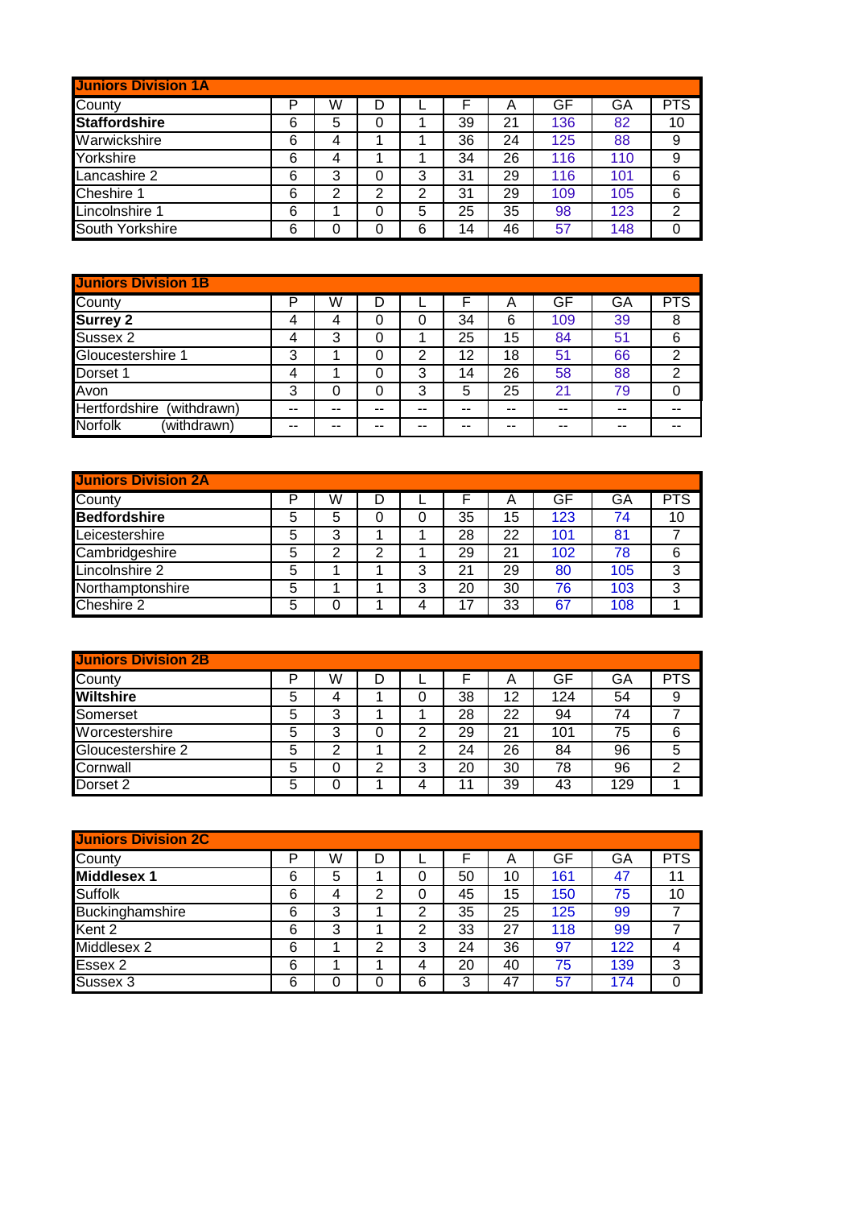| <b>Juniors Division 1A</b> |   |   |   |   |    |    |     |     |            |
|----------------------------|---|---|---|---|----|----|-----|-----|------------|
| County                     | P | W |   |   |    | Α  | GF  | GA  | <b>PTS</b> |
| <b>Staffordshire</b>       | 6 | 5 | 0 |   | 39 | 21 | 136 | 82  | 10         |
| Warwickshire               | 6 | 4 |   |   | 36 | 24 | 125 | 88  | 9          |
| Yorkshire                  | 6 | 4 |   |   | 34 | 26 | 116 | 110 | 9          |
| Lancashire 2               | 6 | 3 | 0 | 3 | 31 | 29 | 116 | 101 | 6          |
| Cheshire 1                 | 6 | 2 | 2 | 2 | 31 | 29 | 109 | 105 | 6          |
| Lincolnshire 1             | 6 |   | 0 | 5 | 25 | 35 | 98  | 123 | 2          |
| South Yorkshire            | 6 | 0 | 0 | 6 | 14 | 46 | 57  | 148 |            |

| <b>Juniors Division 1B</b>          |    |    |    |    |    |    |     |    |                |
|-------------------------------------|----|----|----|----|----|----|-----|----|----------------|
| County                              | P  | W  |    |    |    | Α  | GF  | GA | <b>PTS</b>     |
| <b>Surrey 2</b>                     | 4  | 4  | 0  |    | 34 | 6  | 109 | 39 | 8              |
| Sussex 2                            | 4  | 3  | 0  |    | 25 | 15 | 84  | 51 | 6              |
| Gloucestershire 1                   | 3  |    | 0  | 2  | 12 | 18 | 51  | 66 | $\overline{2}$ |
| Dorset 1                            | 4  |    | 0  | 3  | 14 | 26 | 58  | 88 | $\mathfrak{p}$ |
| Avon                                | 3  |    | 0  | 3  | 5  | 25 | 21  | 79 |                |
| <b>Hertfordshire</b><br>(withdrawn) | -- | -- | -- | -- | -- | -- | --  | -- |                |
| <b>Norfolk</b><br>(withdrawn)       | -- | -- | -- | -- | -- | -- | --  | -- |                |

| <b>Juniors Division 2A</b> |   |   |   |   |    |    |     |     |            |
|----------------------------|---|---|---|---|----|----|-----|-----|------------|
| County                     | P | W | D |   |    | Α  | GF  | GA  | <b>PTS</b> |
| <b>Bedfordshire</b>        | 5 | 5 | 0 | 0 | 35 | 15 | 123 | 74  | 10         |
| Leicestershire             | 5 | 3 |   |   | 28 | 22 | 101 | 81  |            |
| Cambridgeshire             | 5 | 2 | 2 |   | 29 | 21 | 102 | 78  | 6          |
| Lincolnshire 2             | 5 |   |   | 3 | 21 | 29 | 80  | 105 | 3          |
| Northamptonshire           | 5 |   |   | 3 | 20 | 30 | 76  | 103 | 3          |
| Cheshire 2                 | 5 |   |   | 4 | 17 | 33 | 67  | 108 |            |

| <b>Juniors Division 2B</b> |   |   |   |   |    |    |     |     |            |
|----------------------------|---|---|---|---|----|----|-----|-----|------------|
| County                     | D | W | D |   |    | Α  | GF  | GA  | <b>PTS</b> |
| <b>Wiltshire</b>           | 5 | 4 |   | 0 | 38 | 12 | 124 | 54  | 9          |
| Somerset                   | 5 | 3 |   |   | 28 | 22 | 94  | 74  |            |
| Worcestershire             | 5 | 3 | 0 | 2 | 29 | 21 | 101 | 75  | 6          |
| Gloucestershire 2          | 5 | っ |   | っ | 24 | 26 | 84  | 96  | 5          |
| Cornwall                   | 5 |   | 2 | 3 | 20 | 30 | 78  | 96  | 2          |
| Dorset 2                   | 5 |   |   |   | 11 | 39 | 43  | 129 |            |

| <b>Juniors Division 2C</b> |   |   |   |   |    |    |     |     |            |
|----------------------------|---|---|---|---|----|----|-----|-----|------------|
| County                     | P | W | D |   |    | A  | GF  | GA  | <b>PTS</b> |
| <b>Middlesex 1</b>         | 6 | 5 |   | 0 | 50 | 10 | 161 | 47  | 11         |
| <b>Suffolk</b>             | 6 | 4 | 2 | 0 | 45 | 15 | 150 | 75  | 10         |
| Buckinghamshire            | 6 | 3 |   | 2 | 35 | 25 | 125 | 99  |            |
| Kent 2                     | 6 | 3 |   | 2 | 33 | 27 | 118 | 99  |            |
| Middlesex 2                | 6 |   | 2 | 3 | 24 | 36 | 97  | 122 | 4          |
| Essex 2                    | 6 |   |   | 4 | 20 | 40 | 75  | 139 | 3          |
| Sussex 3                   | 6 |   | 0 | 6 | 3  | 47 | 57  | 174 |            |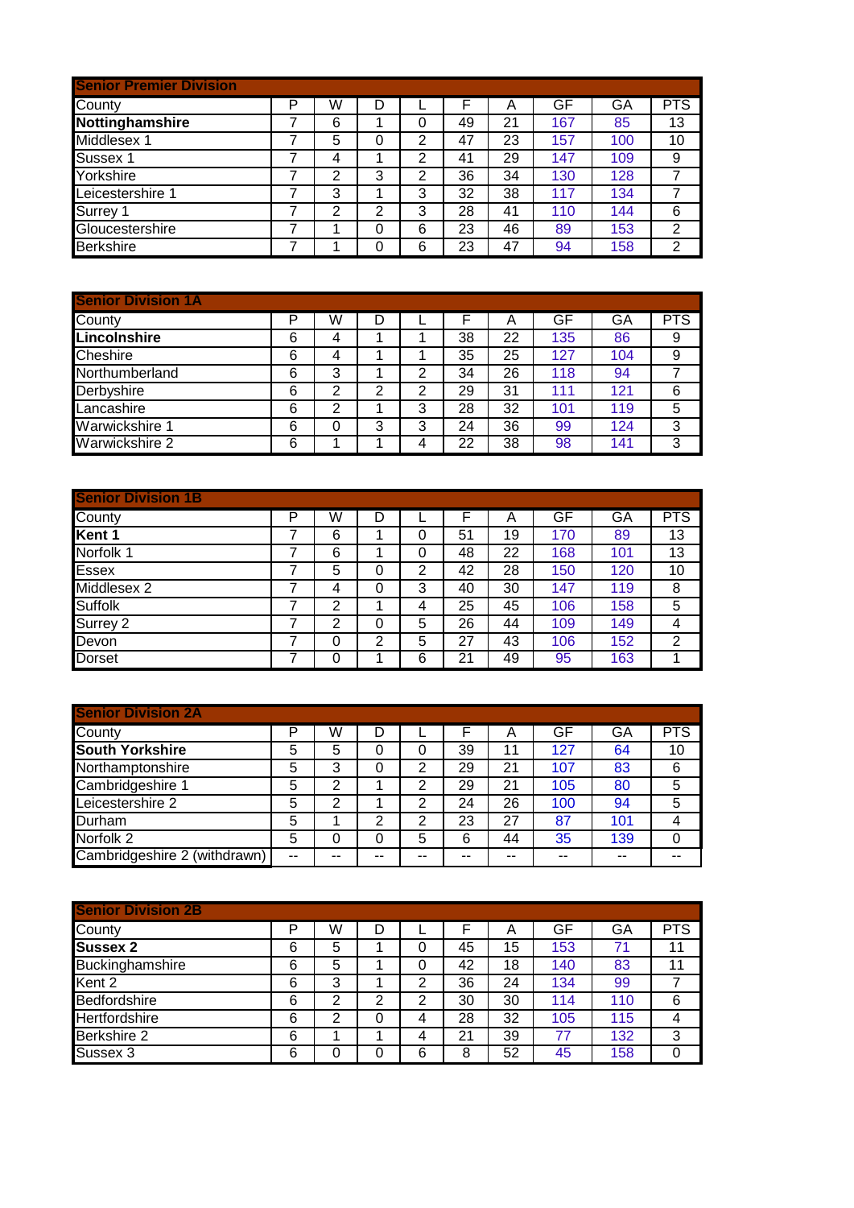| <b>Senior Premier Division</b> |   |   |   |   |    |    |     |     |                |
|--------------------------------|---|---|---|---|----|----|-----|-----|----------------|
| County                         | P | W | D |   |    | Α  | GF  | GA  | <b>PTS</b>     |
| Nottinghamshire                |   | 6 |   | 0 | 49 | 21 | 167 | 85  | 13             |
| Middlesex 1                    |   | 5 | 0 | 2 | 47 | 23 | 157 | 100 | 10             |
| Sussex 1                       |   | 4 |   | 2 | 41 | 29 | 147 | 109 | 9              |
| Yorkshire                      |   | 2 | 3 | 2 | 36 | 34 | 130 | 128 |                |
| Leicestershire 1               |   | 3 |   | 3 | 32 | 38 | 117 | 134 |                |
| Surrey 1                       |   | 2 | 2 | 3 | 28 | 41 | 110 | 144 | 6              |
| Gloucestershire                |   |   | 0 | 6 | 23 | 46 | 89  | 153 | $\overline{2}$ |
| <b>Berkshire</b>               |   |   | 0 | 6 | 23 | 47 | 94  | 158 | $\overline{2}$ |

| <b>Senior Division 1A</b> |   |   |   |   |    |    |     |     |            |
|---------------------------|---|---|---|---|----|----|-----|-----|------------|
| County                    | P | W | D |   |    | Α  | GF  | GA  | <b>PTS</b> |
| Lincolnshire              | 6 | 4 |   |   | 38 | 22 | 135 | 86  | 9          |
| <b>Cheshire</b>           | 6 |   |   |   | 35 | 25 | 127 | 104 | 9          |
| Northumberland            | 6 | 3 |   | 2 | 34 | 26 | 118 | 94  |            |
| Derbyshire                | 6 | 2 | 2 | 2 | 29 | 31 | 111 | 121 | 6          |
| Lancashire                | 6 | 2 |   | 3 | 28 | 32 | 101 | 119 | 5          |
| Warwickshire 1            | 6 |   | 3 | 3 | 24 | 36 | 99  | 124 | 3          |
| Warwickshire 2            | 6 |   |   | 4 | 22 | 38 | 98  | 141 | 3          |

| <b>Senior Division 1B</b> |   |   |   |   |    |    |     |     |            |
|---------------------------|---|---|---|---|----|----|-----|-----|------------|
| County                    | P | W | D |   |    | Α  | GF  | GA  | <b>PTS</b> |
| Kent 1                    |   | 6 |   | 0 | 51 | 19 | 170 | 89  | 13         |
| Norfolk 1                 | 7 | 6 |   | 0 | 48 | 22 | 168 | 101 | 13         |
| <b>Essex</b>              |   | 5 | 0 | 2 | 42 | 28 | 150 | 120 | 10         |
| Middlesex 2               |   | 4 | 0 | 3 | 40 | 30 | 147 | 119 | 8          |
| Suffolk                   | 7 | 2 |   | 4 | 25 | 45 | 106 | 158 | 5          |
| Surrey 2                  |   | 2 | 0 | 5 | 26 | 44 | 109 | 149 | 4          |
| Devon                     |   | 0 | 2 | 5 | 27 | 43 | 106 | 152 | 2          |
| <b>Dorset</b>             |   | 0 |   | 6 | 21 | 49 | 95  | 163 |            |

| <b>Senior Division 2A</b>    |    |    |   |   |    |    |     |     |            |
|------------------------------|----|----|---|---|----|----|-----|-----|------------|
| County                       | D  | W  | D |   |    | Α  | GF  | GA  | <b>PTS</b> |
| <b>South Yorkshire</b>       | 5  | 5  | 0 |   | 39 | 11 | 127 | 64  | 10         |
| Northamptonshire             | 5  | 3  |   | 2 | 29 | 21 | 107 | 83  | 6          |
| Cambridgeshire 1             | 5  | 2  |   | 2 | 29 | 21 | 105 | 80  | 5          |
| Leicestershire 2             | 5  | 2  |   | っ | 24 | 26 | 100 | 94  | 5          |
| Durham                       | 5  |    | っ | っ | 23 | 27 | 87  | 101 |            |
| Norfolk <sub>2</sub>         | 5  |    | 0 | 5 | 6  | 44 | 35  | 139 | 0          |
| Cambridgeshire 2 (withdrawn) | -- | -- |   |   |    | -- | --  | --  |            |

| <b>Senior Division 2B</b> |   |   |   |   |    |    |     |     |            |
|---------------------------|---|---|---|---|----|----|-----|-----|------------|
| County                    | P | W | D |   |    | Α  | GF  | GA  | <b>PTS</b> |
| <b>Sussex 2</b>           | 6 | 5 |   | 0 | 45 | 15 | 153 | 71  | 11         |
| Buckinghamshire           | 6 | 5 |   | 0 | 42 | 18 | 140 | 83  | 11         |
| Kent 2                    | 6 | 3 |   | 2 | 36 | 24 | 134 | 99  |            |
| Bedfordshire              | 6 | 2 | 2 | 2 | 30 | 30 | 114 | 110 | 6          |
| Hertfordshire             | 6 | 2 | 0 | 4 | 28 | 32 | 105 | 115 | 4          |
| Berkshire 2               | 6 |   |   | 4 | 21 | 39 | 77  | 132 | 3          |
| Sussex 3                  | 6 | 0 | 0 | 6 | 8  | 52 | 45  | 158 |            |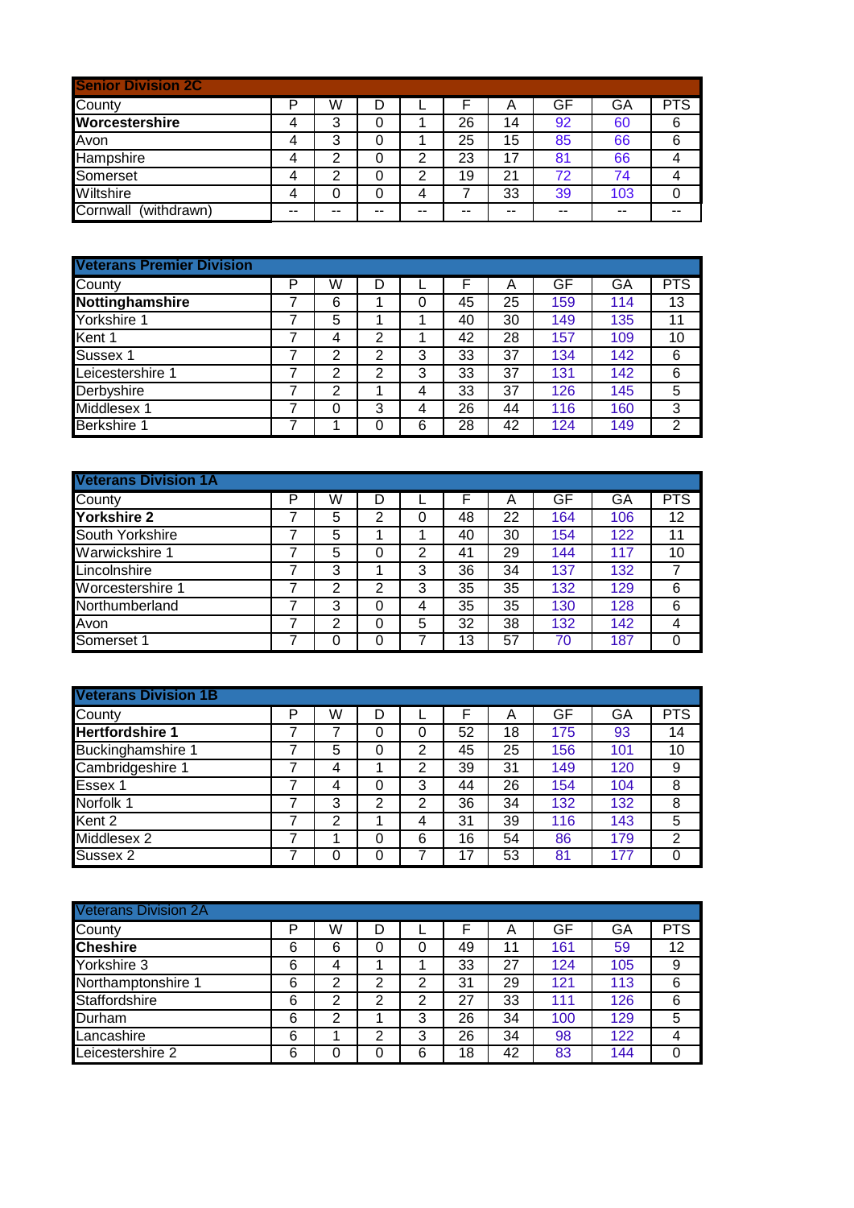| <b>Senior Division 2C</b> |    |    |    |    |    |       |    |       |     |
|---------------------------|----|----|----|----|----|-------|----|-------|-----|
| County                    | P  | W  |    |    |    | Α     | GF | GA    | PTS |
| Worcestershire            | 4  | 3  |    |    | 26 | 14    | 92 | 60    | 6   |
| Avon                      | 4  | 3  | 0  |    | 25 | 15    | 85 | 66    | 6   |
| <b>Hampshire</b>          | 4  | 2  | 0  | 2  | 23 | 17    | 81 | 66    |     |
| Somerset                  | 4  | 2  |    | 2  | 19 | 21    | 72 | 74    |     |
| Wiltshire                 | 4  | 0  |    | 4  |    | 33    | 39 | 103   |     |
| Cornwall<br>(withdrawn)   | -- | -- | -- | -- | -- | $- -$ | -- | $- -$ |     |

| <b>Veterans Premier Division</b> |   |                |   |   |    |    |     |     |            |
|----------------------------------|---|----------------|---|---|----|----|-----|-----|------------|
| County                           | P | W              | D |   |    | Α  | GF  | GA  | <b>PTS</b> |
| Nottinghamshire                  |   | 6              |   | 0 | 45 | 25 | 159 | 114 | 13         |
| Yorkshire 1                      |   | 5              |   |   | 40 | 30 | 149 | 135 | 11         |
| Kent 1                           |   | 4              | 2 |   | 42 | 28 | 157 | 109 | 10         |
| Sussex 1                         |   | $\overline{2}$ | 2 | 3 | 33 | 37 | 134 | 142 | 6          |
| Leicestershire 1                 |   | 2              | 2 | 3 | 33 | 37 | 131 | 142 | 6          |
| Derbyshire                       |   | 2              | л | 4 | 33 | 37 | 126 | 145 | 5          |
| Middlesex 1                      |   | 0              | 3 | 4 | 26 | 44 | 116 | 160 | 3          |
| Berkshire 1                      |   |                | 0 | 6 | 28 | 42 | 124 | 149 | 2          |

| <b>Veterans Division 1A</b> |   |   |   |   |    |    |     |     |            |
|-----------------------------|---|---|---|---|----|----|-----|-----|------------|
| County                      | P | W | D |   |    | А  | GF  | GA  | <b>PTS</b> |
| Yorkshire 2                 |   | 5 | 2 | 0 | 48 | 22 | 164 | 106 | 12         |
| South Yorkshire             |   | 5 |   |   | 40 | 30 | 154 | 122 | 11         |
| Warwickshire 1              |   | 5 | 0 | 2 | 41 | 29 | 144 | 117 | 10         |
| Lincolnshire                |   | 3 |   | 3 | 36 | 34 | 137 | 132 |            |
| Worcestershire 1            |   | 2 | 2 | 3 | 35 | 35 | 132 | 129 | 6          |
| Northumberland              |   | 3 | 0 | 4 | 35 | 35 | 130 | 128 | 6          |
| Avon                        |   | ႒ | 0 | 5 | 32 | 38 | 132 | 142 | 4          |
| Somerset 1                  |   |   | 0 |   | 13 | 57 | 70  | 187 | 0          |

| <b>Veterans Division 1B</b> |   |   |   |   |    |    |     |     |            |
|-----------------------------|---|---|---|---|----|----|-----|-----|------------|
| County                      | P | W | D |   |    | Α  | GF  | GA  | <b>PTS</b> |
| <b>Hertfordshire 1</b>      |   |   | 0 | 0 | 52 | 18 | 175 | 93  | 14         |
| <b>Buckinghamshire 1</b>    |   | 5 | 0 | 2 | 45 | 25 | 156 | 101 | 10         |
| Cambridgeshire 1            |   | 4 |   | 2 | 39 | 31 | 149 | 120 | 9          |
| Essex 1                     |   | 4 | 0 | 3 | 44 | 26 | 154 | 104 | 8          |
| Norfolk 1                   |   | 3 | 2 | 2 | 36 | 34 | 132 | 132 | 8          |
| Kent 2                      |   | 2 |   | 4 | 31 | 39 | 116 | 143 | 5          |
| Middlesex 2                 |   |   | 0 | 6 | 16 | 54 | 86  | 179 | 2          |
| Sussex 2                    |   | 0 | 0 | 7 | 17 | 53 | 81  | 177 | 0          |

| <b>Veterans Division 2A</b> |   |   |   |   |    |    |     |     |            |
|-----------------------------|---|---|---|---|----|----|-----|-----|------------|
| County                      | P | W | D |   |    | Α  | GF  | GA  | <b>PTS</b> |
| <b>Cheshire</b>             | 6 | 6 | 0 | 0 | 49 | 11 | 161 | 59  | 12         |
| Yorkshire 3                 | 6 | 4 |   |   | 33 | 27 | 124 | 105 | 9          |
| Northamptonshire 1          | 6 | 2 | 2 | 2 | 31 | 29 | 121 | 113 | 6          |
| Staffordshire               | 6 | 2 | 2 | 2 | 27 | 33 | 111 | 126 | 6          |
| Durham                      | 6 | 2 |   | 3 | 26 | 34 | 100 | 129 | 5          |
| Lancashire                  | 6 |   | 2 | 3 | 26 | 34 | 98  | 122 | 4          |
| Leicestershire 2            | 6 |   | 0 | 6 | 18 | 42 | 83  | 144 | 0          |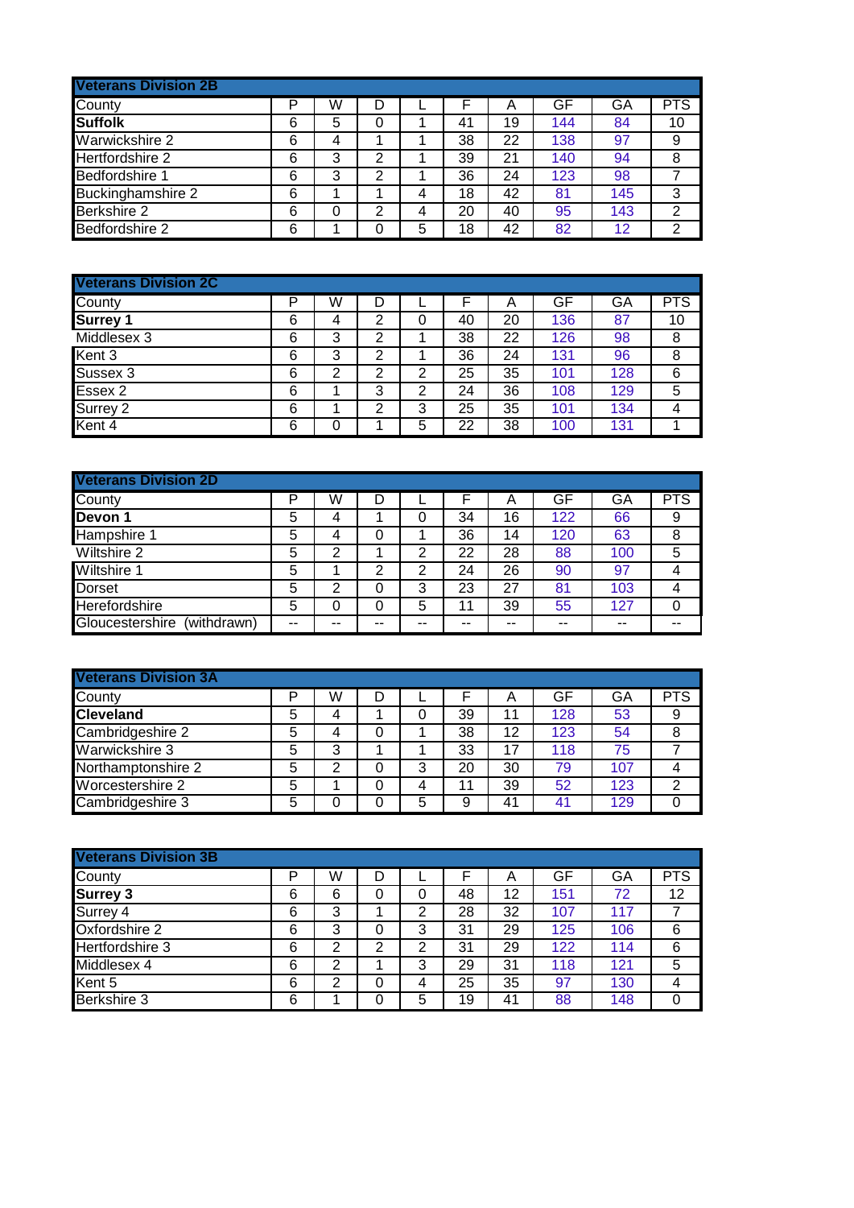| <b>Veterans Division 2B</b> |   |   |   |   |    |    |     |     |            |
|-----------------------------|---|---|---|---|----|----|-----|-----|------------|
| County                      | P | W | D |   |    | Α  | GF  | GA  | <b>PTS</b> |
| <b>Suffolk</b>              | 6 | 5 | 0 |   | 41 | 19 | 144 | 84  | 10         |
| Warwickshire 2              | 6 | 4 |   |   | 38 | 22 | 138 | 97  | 9          |
| Hertfordshire 2             | 6 | 3 | 2 |   | 39 | 21 | 140 | 94  | 8          |
| Bedfordshire 1              | 6 | 3 | 2 |   | 36 | 24 | 123 | 98  |            |
| <b>Buckinghamshire 2</b>    | 6 |   |   | 4 | 18 | 42 | 81  | 145 | 3          |
| Berkshire 2                 | 6 | 0 | 2 | 4 | 20 | 40 | 95  | 143 | 2          |
| Bedfordshire 2              | 6 |   | 0 | 5 | 18 | 42 | 82  | 12  | 2          |

| <b>Veterans Division 2C</b> |   |   |   |   |    |    |     |     |            |
|-----------------------------|---|---|---|---|----|----|-----|-----|------------|
| County                      | P | W | D |   |    | Α  | GF  | GA  | <b>PTS</b> |
| <b>Surrey 1</b>             | 6 | 4 | 2 | 0 | 40 | 20 | 136 | 87  | 10         |
| Middlesex 3                 | 6 | 3 | 2 |   | 38 | 22 | 126 | 98  | 8          |
| Kent 3                      | 6 | 3 | 2 |   | 36 | 24 | 131 | 96  | 8          |
| Sussex 3                    | 6 | 2 | 2 | 2 | 25 | 35 | 101 | 128 | 6          |
| Essex 2                     | 6 |   | 3 | 2 | 24 | 36 | 108 | 129 | 5          |
| Surrey 2                    | 6 |   | 2 | 3 | 25 | 35 | 101 | 134 | 4          |
| Kent 4                      | 6 |   |   | 5 | 22 | 38 | 100 | 131 |            |

| <b>Veterans Division 2D</b>    |    |    |    |    |    |    |     |     |            |
|--------------------------------|----|----|----|----|----|----|-----|-----|------------|
| County                         | P  | W  | D  |    |    | Α  | GF  | GA  | <b>PTS</b> |
| Devon 1                        | 5  | 4  |    | 0  | 34 | 16 | 122 | 66  | 9          |
| Hampshire 1                    | 5  | 4  | 0  |    | 36 | 14 | 120 | 63  | 8          |
| Wiltshire 2                    | 5  | 2  |    | 2  | 22 | 28 | 88  | 100 | 5          |
| <b>Wiltshire 1</b>             | 5  |    | 2  | 2  | 24 | 26 | 90  | 97  | 4          |
| <b>Dorset</b>                  | 5  | 2  | 0  | 3  | 23 | 27 | 81  | 103 | 4          |
| Herefordshire                  | 5  | 0  | 0  | 5  | 11 | 39 | 55  | 127 | 0          |
| Gloucestershire<br>(withdrawn) | -- | -- | -- | -- | -- | -- | --  | --  | --         |

| <b>Veterans Division 3A</b> |   |   |   |   |    |    |     |     |                |
|-----------------------------|---|---|---|---|----|----|-----|-----|----------------|
| County                      | D | W | D |   |    | A  | GF  | GA  | <b>PTS</b>     |
| <b>Cleveland</b>            | 5 |   |   |   | 39 | 11 | 128 | 53  | 9              |
| Cambridgeshire 2            | 5 | 4 |   |   | 38 | 12 | 123 | 54  | 8              |
| Warwickshire 3              | 5 | 3 |   |   | 33 | 17 | 118 | 75  |                |
| Northamptonshire 2          | 5 | 2 |   | 3 | 20 | 30 | 79  | 107 |                |
| Worcestershire 2            | 5 |   |   |   | 11 | 39 | 52  | 123 | $\mathfrak{p}$ |
| Cambridgeshire 3            | 5 |   |   | 5 | 9  | 41 | 41  | 129 |                |

| <b>Veterans Division 3B</b> |   |   |   |   |    |    |     |     |            |
|-----------------------------|---|---|---|---|----|----|-----|-----|------------|
| County                      | P | W | D |   |    | A  | GF  | GA  | <b>PTS</b> |
| <b>Surrey 3</b>             | 6 | 6 | 0 | 0 | 48 | 12 | 151 | 72  | 12         |
| Surrey 4                    | 6 | 3 |   | 2 | 28 | 32 | 107 | 117 |            |
| Oxfordshire 2               | 6 | 3 | 0 | 3 | 31 | 29 | 125 | 106 | 6          |
| Hertfordshire 3             | 6 | 2 | 2 | 2 | 31 | 29 | 122 | 114 | 6          |
| Middlesex 4                 | 6 | 2 |   | 3 | 29 | 31 | 118 | 121 | 5          |
| Kent 5                      | 6 | 2 | 0 | 4 | 25 | 35 | 97  | 130 | 4          |
| <b>Berkshire 3</b>          | 6 |   | 0 | 5 | 19 | 41 | 88  | 148 | 0          |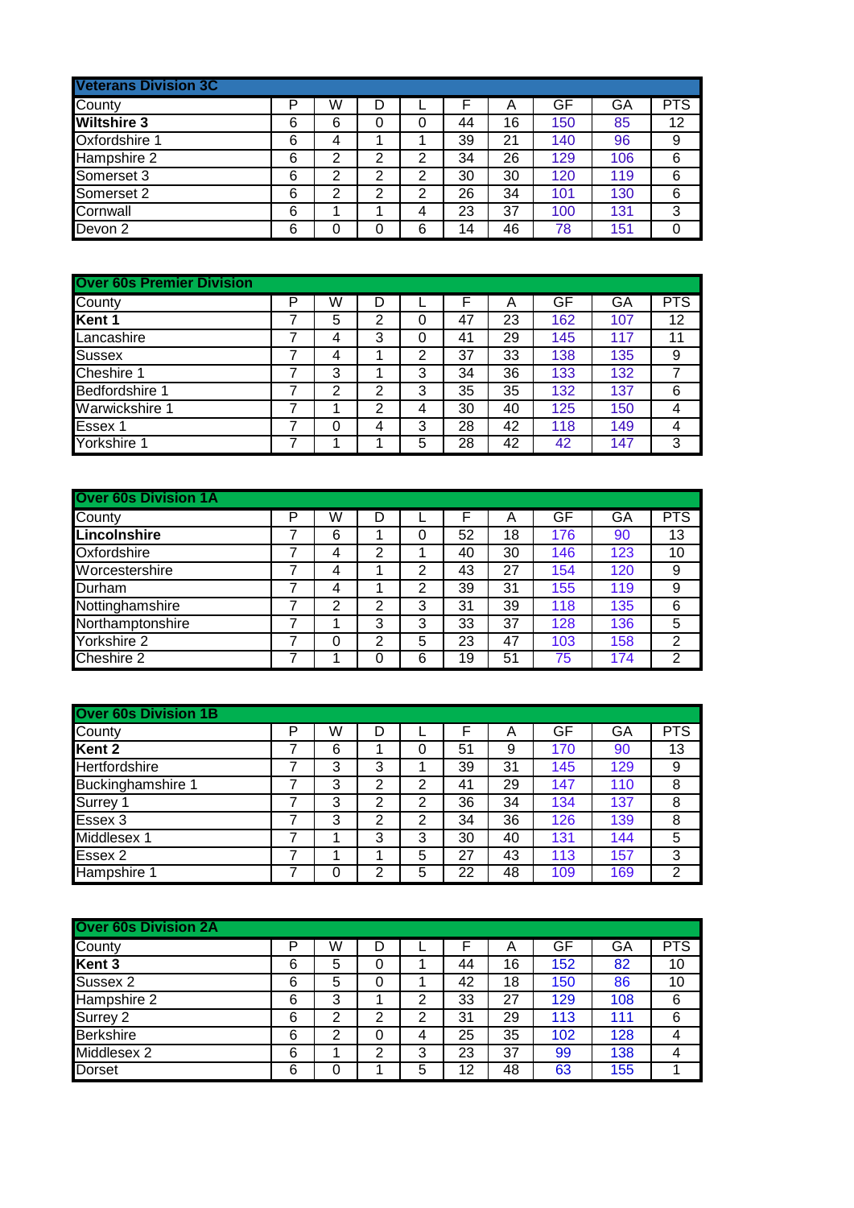| <b>Veterans Division 3C</b> |   |                |   |   |    |    |     |     |            |
|-----------------------------|---|----------------|---|---|----|----|-----|-----|------------|
| County                      | P | W              | D |   |    | Α  | GF  | GA  | <b>PTS</b> |
| <b>Wiltshire 3</b>          | 6 | 6              | 0 | 0 | 44 | 16 | 150 | 85  | 12         |
| Oxfordshire 1               | 6 | 4              |   |   | 39 | 21 | 140 | 96  | 9          |
| Hampshire 2                 | 6 | $\overline{2}$ | 2 | 2 | 34 | 26 | 129 | 106 | 6          |
| Somerset 3                  | 6 | 2              | 2 | 2 | 30 | 30 | 120 | 119 | 6          |
| Somerset 2                  | 6 | 2              | 2 | 2 | 26 | 34 | 101 | 130 | 6          |
| Cornwall                    | 6 |                |   | 4 | 23 | 37 | 100 | 131 | 3          |
| Devon <sub>2</sub>          | 6 | 0              | 0 | 6 | 14 | 46 | 78  | 151 |            |

| <b>Over 60s Premier Division</b> |   |   |   |                |    |    |     |     |            |
|----------------------------------|---|---|---|----------------|----|----|-----|-----|------------|
| County                           | P | W | D |                | F  | Α  | GF  | GA  | <b>PTS</b> |
| Kent 1                           |   | 5 | 2 | 0              | 47 | 23 | 162 | 107 | 12         |
| Lancashire                       |   | 4 | 3 | 0              | 41 | 29 | 145 | 117 | 11         |
| Sussex                           |   | 4 |   | $\overline{2}$ | 37 | 33 | 138 | 135 | 9          |
| Cheshire 1                       |   | 3 |   | 3              | 34 | 36 | 133 | 132 |            |
| Bedfordshire 1                   |   | 2 | 2 | 3              | 35 | 35 | 132 | 137 | 6          |
| Warwickshire 1                   | 7 |   | 2 | 4              | 30 | 40 | 125 | 150 | 4          |
| Essex 1                          | 7 | 0 | 4 | 3              | 28 | 42 | 118 | 149 | 4          |
| Yorkshire 1                      |   |   |   | 5              | 28 | 42 | 42  | 147 | 3          |

| <b>Over 60s Division 1A</b> |   |   |   |   |    |    |     |     |                |
|-----------------------------|---|---|---|---|----|----|-----|-----|----------------|
| County                      | P | W | D |   |    | А  | GF  | GA  | <b>PTS</b>     |
| Lincolnshire                |   | 6 |   | 0 | 52 | 18 | 176 | 90  | 13             |
| Oxfordshire                 |   | 4 | 2 |   | 40 | 30 | 146 | 123 | 10             |
| Worcestershire              |   | 4 |   | 2 | 43 | 27 | 154 | 120 | 9              |
| Durham                      |   | 4 |   | 2 | 39 | 31 | 155 | 119 | 9              |
| Nottinghamshire             |   | 2 | 2 | 3 | 31 | 39 | 118 | 135 | 6              |
| Northamptonshire            |   |   | 3 | 3 | 33 | 37 | 128 | 136 | 5              |
| Yorkshire 2                 |   |   | 2 | 5 | 23 | 47 | 103 | 158 | $\overline{2}$ |
| Cheshire 2                  |   |   | 0 | 6 | 19 | 51 | 75  | 174 | 2              |

| <b>Over 60s Division 1B</b> |   |   |                |   |    |    |     |     |                |
|-----------------------------|---|---|----------------|---|----|----|-----|-----|----------------|
| County                      | P | W | D              |   |    | Α  | GF  | GA  | <b>PTS</b>     |
| Kent 2                      |   | 6 |                | 0 | 51 | 9  | 170 | 90  | 13             |
| Hertfordshire               |   | 3 | 3              |   | 39 | 31 | 145 | 129 | 9              |
| Buckinghamshire 1           |   | 3 | 2              | 2 | 41 | 29 | 147 | 110 | 8              |
| Surrey 1                    |   | 3 | 2              | 2 | 36 | 34 | 134 | 137 | 8              |
| Essex 3                     |   | 3 | $\overline{2}$ | 2 | 34 | 36 | 126 | 139 | 8              |
| Middlesex 1                 |   |   | 3              | 3 | 30 | 40 | 131 | 144 | 5              |
| Essex 2                     |   |   |                | 5 | 27 | 43 | 113 | 157 | 3              |
| Hampshire 1                 |   | 0 | っ              | 5 | 22 | 48 | 109 | 169 | $\overline{2}$ |

| <b>Over 60s Division 2A</b> |   |   |   |   |    |    |     |     |            |
|-----------------------------|---|---|---|---|----|----|-----|-----|------------|
| County                      | P | W | D |   |    | Α  | GF  | GA  | <b>PTS</b> |
| Kent 3                      | 6 | 5 | 0 |   | 44 | 16 | 152 | 82  | 10         |
| Sussex 2                    | 6 | 5 | 0 |   | 42 | 18 | 150 | 86  | 10         |
| Hampshire 2                 | 6 | 3 |   | 2 | 33 | 27 | 129 | 108 | 6          |
| Surrey 2                    | 6 | 2 | 2 | 2 | 31 | 29 | 113 | 111 | 6          |
| <b>Berkshire</b>            | 6 | 2 | 0 | 4 | 25 | 35 | 102 | 128 | 4          |
| Middlesex 2                 | 6 |   | 2 | 3 | 23 | 37 | 99  | 138 | 4          |
| <b>Dorset</b>               | 6 | 0 |   | 5 | 12 | 48 | 63  | 155 |            |